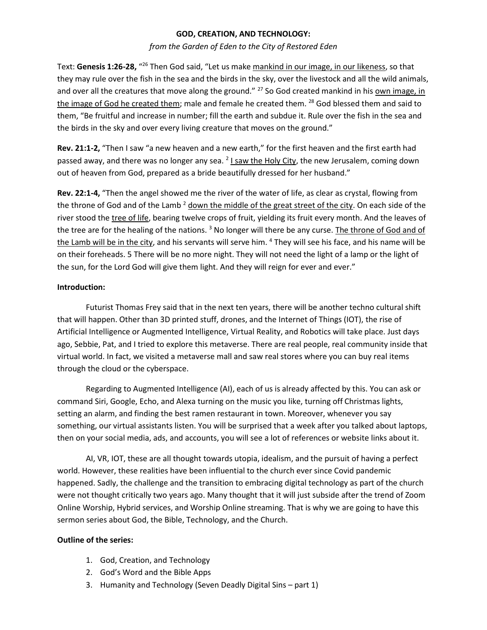## **GOD, CREATION, AND TECHNOLOGY:**

### *from the Garden of Eden to the City of Restored Eden*

Text: Genesis 1:26-28, "<sup>26</sup> Then God said, "Let us make <u>mankind in our image, in our likeness</u>, so that they may rule over the fish in the sea and the birds in the sky, over the livestock and all the wild animals, and over all the creatures that move along the ground." <sup>27</sup> So God created mankind in his own image, in the image of God he created them; male and female he created them. <sup>28</sup> God blessed them and said to them, "Be fruitful and increase in number; fill the earth and subdue it. Rule over the fish in the sea and the birds in the sky and over every living creature that moves on the ground."

**Rev. 21:1-2,** "Then I saw "a new heaven and a new earth," for the first heaven and the first earth had passed away, and there was no longer any sea. <sup>2</sup> I saw the Holy City, the new Jerusalem, coming down out of heaven from God, prepared as a bride beautifully dressed for her husband."

**Rev. 22:1-4,** "Then the angel showed me the river of the water of life, as clear as crystal, flowing from the throne of God and of the Lamb  $2$  down the middle of the great street of the city. On each side of the river stood the tree of life, bearing twelve crops of fruit, yielding its fruit every month. And the leaves of the tree are for the healing of the nations. <sup>3</sup> No longer will there be any curse. The throne of God and of the Lamb will be in the city, and his servants will serve him. <sup>4</sup> They will see his face, and his name will be on their foreheads. 5 There will be no more night. They will not need the light of a lamp or the light of the sun, for the Lord God will give them light. And they will reign for ever and ever."

# **Introduction:**

Futurist Thomas Frey said that in the next ten years, there will be another techno cultural shift that will happen. Other than 3D printed stuff, drones, and the Internet of Things (IOT), the rise of Artificial Intelligence or Augmented Intelligence, Virtual Reality, and Robotics will take place. Just days ago, Sebbie, Pat, and I tried to explore this metaverse. There are real people, real community inside that virtual world. In fact, we visited a metaverse mall and saw real stores where you can buy real items through the cloud or the cyberspace.

Regarding to Augmented Intelligence (AI), each of us is already affected by this. You can ask or command Siri, Google, Echo, and Alexa turning on the music you like, turning off Christmas lights, setting an alarm, and finding the best ramen restaurant in town. Moreover, whenever you say something, our virtual assistants listen. You will be surprised that a week after you talked about laptops, then on your social media, ads, and accounts, you will see a lot of references or website links about it.

AI, VR, IOT, these are all thought towards utopia, idealism, and the pursuit of having a perfect world. However, these realities have been influential to the church ever since Covid pandemic happened. Sadly, the challenge and the transition to embracing digital technology as part of the church were not thought critically two years ago. Many thought that it will just subside after the trend of Zoom Online Worship, Hybrid services, and Worship Online streaming. That is why we are going to have this sermon series about God, the Bible, Technology, and the Church.

### **Outline of the series:**

- 1. God, Creation, and Technology
- 2. God's Word and the Bible Apps
- 3. Humanity and Technology (Seven Deadly Digital Sins part 1)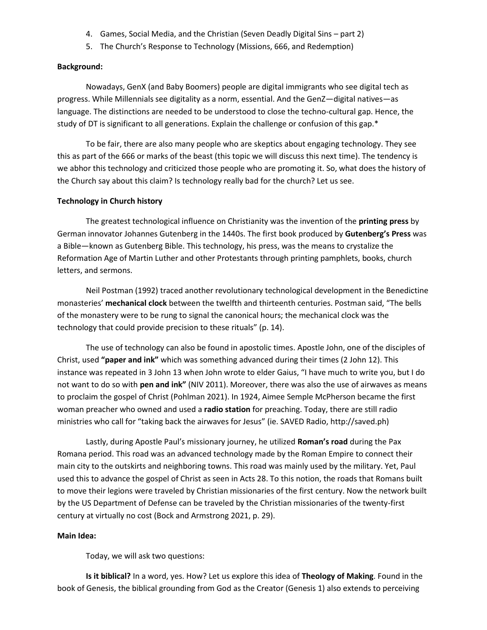- 4. Games, Social Media, and the Christian (Seven Deadly Digital Sins part 2)
- 5. The Church's Response to Technology (Missions, 666, and Redemption)

#### **Background:**

Nowadays, GenX (and Baby Boomers) people are digital immigrants who see digital tech as progress. While Millennials see digitality as a norm, essential. And the GenZ—digital natives—as language. The distinctions are needed to be understood to close the techno-cultural gap. Hence, the study of DT is significant to all generations. Explain the challenge or confusion of this gap.\*

To be fair, there are also many people who are skeptics about engaging technology. They see this as part of the 666 or marks of the beast (this topic we will discuss this next time). The tendency is we abhor this technology and criticized those people who are promoting it. So, what does the history of the Church say about this claim? Is technology really bad for the church? Let us see.

#### **Technology in Church history**

The greatest technological influence on Christianity was the invention of the **printing press** by German innovator Johannes Gutenberg in the 1440s. The first book produced by **Gutenberg's Press** was a Bible—known as Gutenberg Bible. This technology, his press, was the means to crystalize the Reformation Age of Martin Luther and other Protestants through printing pamphlets, books, church letters, and sermons.

Neil Postman (1992) traced another revolutionary technological development in the Benedictine monasteries' **mechanical clock** between the twelfth and thirteenth centuries. Postman said, "The bells of the monastery were to be rung to signal the canonical hours; the mechanical clock was the technology that could provide precision to these rituals" (p. 14).

The use of technology can also be found in apostolic times. Apostle John, one of the disciples of Christ, used **"paper and ink"** which was something advanced during their times (2 John 12). This instance was repeated in 3 John 13 when John wrote to elder Gaius, "I have much to write you, but I do not want to do so with **pen and ink"** (NIV 2011). Moreover, there was also the use of airwaves as means to proclaim the gospel of Christ (Pohlman 2021). In 1924, Aimee Semple McPherson became the first woman preacher who owned and used a **radio station** for preaching. Today, there are still radio ministries who call for "taking back the airwaves for Jesus" (ie. SAVED Radio, http://saved.ph)

Lastly, during Apostle Paul's missionary journey, he utilized **Roman's road** during the Pax Romana period. This road was an advanced technology made by the Roman Empire to connect their main city to the outskirts and neighboring towns. This road was mainly used by the military. Yet, Paul used this to advance the gospel of Christ as seen in Acts 28. To this notion, the roads that Romans built to move their legions were traveled by Christian missionaries of the first century. Now the network built by the US Department of Defense can be traveled by the Christian missionaries of the twenty-first century at virtually no cost (Bock and Armstrong 2021, p. 29).

### **Main Idea:**

Today, we will ask two questions:

**Is it biblical?** In a word, yes. How? Let us explore this idea of **Theology of Making**. Found in the book of Genesis, the biblical grounding from God as the Creator (Genesis 1) also extends to perceiving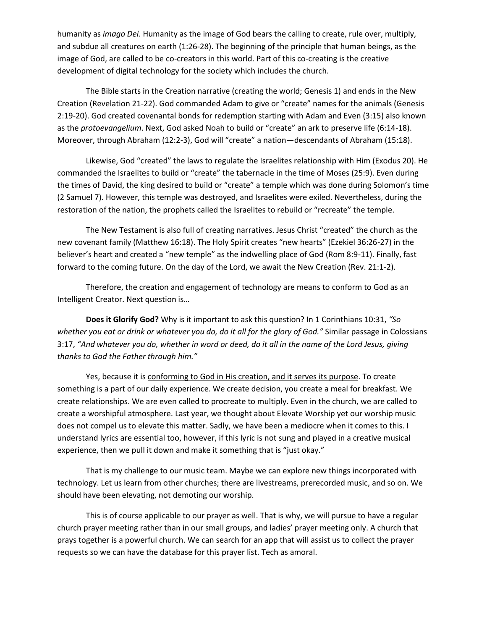humanity as *imago Dei*. Humanity as the image of God bears the calling to create, rule over, multiply, and subdue all creatures on earth (1:26-28). The beginning of the principle that human beings, as the image of God, are called to be co-creators in this world. Part of this co-creating is the creative development of digital technology for the society which includes the church.

The Bible starts in the Creation narrative (creating the world; Genesis 1) and ends in the New Creation (Revelation 21-22). God commanded Adam to give or "create" names for the animals (Genesis 2:19-20). God created covenantal bonds for redemption starting with Adam and Even (3:15) also known as the *protoevangelium*. Next, God asked Noah to build or "create" an ark to preserve life (6:14-18). Moreover, through Abraham (12:2-3), God will "create" a nation—descendants of Abraham (15:18).

Likewise, God "created" the laws to regulate the Israelites relationship with Him (Exodus 20). He commanded the Israelites to build or "create" the tabernacle in the time of Moses (25:9). Even during the times of David, the king desired to build or "create" a temple which was done during Solomon's time (2 Samuel 7). However, this temple was destroyed, and Israelites were exiled. Nevertheless, during the restoration of the nation, the prophets called the Israelites to rebuild or "recreate" the temple.

The New Testament is also full of creating narratives. Jesus Christ "created" the church as the new covenant family (Matthew 16:18). The Holy Spirit creates "new hearts" (Ezekiel 36:26-27) in the believer's heart and created a "new temple" as the indwelling place of God (Rom 8:9-11). Finally, fast forward to the coming future. On the day of the Lord, we await the New Creation (Rev. 21:1-2).

Therefore, the creation and engagement of technology are means to conform to God as an Intelligent Creator. Next question is…

**Does it Glorify God?** Why is it important to ask this question? In 1 Corinthians 10:31, *"So whether you eat or drink or whatever you do, do it all for the glory of God."* Similar passage in Colossians 3:17, *"And whatever you do, whether in word or deed, do it all in the name of the Lord Jesus, giving thanks to God the Father through him."*

Yes, because it is conforming to God in His creation, and it serves its purpose. To create something is a part of our daily experience. We create decision, you create a meal for breakfast. We create relationships. We are even called to procreate to multiply. Even in the church, we are called to create a worshipful atmosphere. Last year, we thought about Elevate Worship yet our worship music does not compel us to elevate this matter. Sadly, we have been a mediocre when it comes to this. I understand lyrics are essential too, however, if this lyric is not sung and played in a creative musical experience, then we pull it down and make it something that is "just okay."

That is my challenge to our music team. Maybe we can explore new things incorporated with technology. Let us learn from other churches; there are livestreams, prerecorded music, and so on. We should have been elevating, not demoting our worship.

This is of course applicable to our prayer as well. That is why, we will pursue to have a regular church prayer meeting rather than in our small groups, and ladies' prayer meeting only. A church that prays together is a powerful church. We can search for an app that will assist us to collect the prayer requests so we can have the database for this prayer list. Tech as amoral.